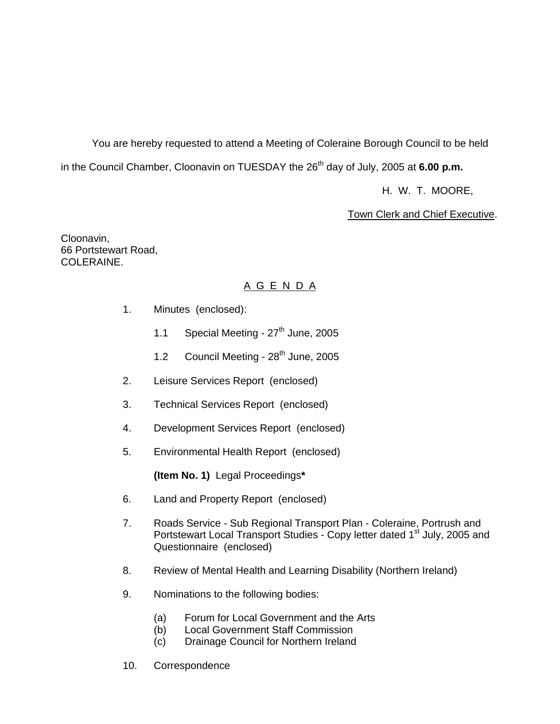You are hereby requested to attend a Meeting of Coleraine Borough Council to be held in the Council Chamber, Cloonavin on TUESDAY the 26<sup>th</sup> day of July, 2005 at 6.00 p.m.

H. W. T. MOORE,

Town Clerk and Chief Executive.

Cloonavin, 66 Portstewart Road, COLERAINE.

# A G E N D A

- 1. Minutes (enclosed):
	- 1.1 Special Meeting  $27<sup>th</sup>$  June, 2005
	- 1.2 Council Meeting 28<sup>th</sup> June, 2005
- 2. Leisure Services Report (enclosed)
- 3. Technical Services Report (enclosed)
- 4. Development Services Report (enclosed)
- 5. Environmental Health Report(enclosed)

**(Item No. 1)** Legal Proceedings**\*** 

- 6. Land and Property Report (enclosed)
- 7. Roads Service Sub Regional Transport Plan Coleraine, Portrush and Portstewart Local Transport Studies - Copy letter dated 1<sup>st</sup> July, 2005 and Questionnaire (enclosed)
- 8. Review of Mental Health and Learning Disability (Northern Ireland)
- 9. Nominations to the following bodies:
	- (a) Forum for Local Government and the Arts
	- (b) Local Government Staff Commission
	- (c) Drainage Council for Northern Ireland
- 10. Correspondence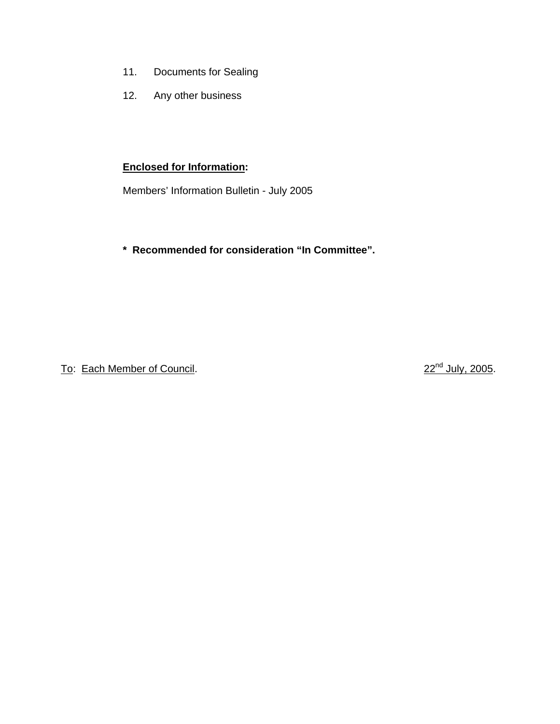- 11. Documents for Sealing
- 12. Any other business

# **Enclosed for Information:**

Members' Information Bulletin - July 2005

# **\* Recommended for consideration "In Committee".**

To: Each Member of Council. 22<sup>nd</sup> July, 2005.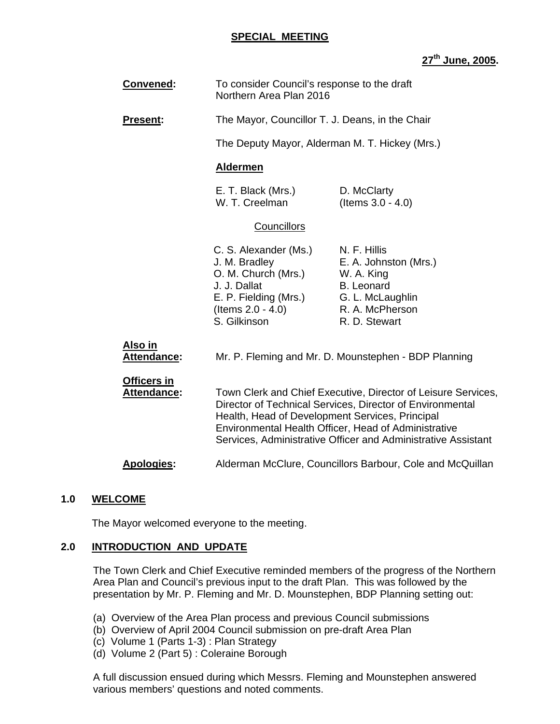#### **SPECIAL MEETING**

# **27th June, 2005.**

| Convened:                         | To consider Council's response to the draft<br>Northern Area Plan 2016                                                                                                                                                                                                                                 |                                                                                                                                  |  |  |  |
|-----------------------------------|--------------------------------------------------------------------------------------------------------------------------------------------------------------------------------------------------------------------------------------------------------------------------------------------------------|----------------------------------------------------------------------------------------------------------------------------------|--|--|--|
| <b>Present:</b>                   | The Mayor, Councillor T. J. Deans, in the Chair                                                                                                                                                                                                                                                        |                                                                                                                                  |  |  |  |
|                                   | The Deputy Mayor, Alderman M. T. Hickey (Mrs.)                                                                                                                                                                                                                                                         |                                                                                                                                  |  |  |  |
|                                   | <b>Aldermen</b>                                                                                                                                                                                                                                                                                        |                                                                                                                                  |  |  |  |
|                                   | E. T. Black (Mrs.)<br>W. T. Creelman                                                                                                                                                                                                                                                                   | D. McClarty<br>(Items 3.0 - 4.0)                                                                                                 |  |  |  |
| <b>Councillors</b>                |                                                                                                                                                                                                                                                                                                        |                                                                                                                                  |  |  |  |
|                                   | C. S. Alexander (Ms.)<br>J. M. Bradley<br>O. M. Church (Mrs.)<br>J. J. Dallat<br>E. P. Fielding (Mrs.)<br>(Items $2.0 - 4.0$ )<br>S. Gilkinson                                                                                                                                                         | N. F. Hillis<br>E. A. Johnston (Mrs.)<br>W. A. King<br><b>B.</b> Leonard<br>G. L. McLaughlin<br>R. A. McPherson<br>R. D. Stewart |  |  |  |
| Also in<br>Attendance:            | Mr. P. Fleming and Mr. D. Mounstephen - BDP Planning                                                                                                                                                                                                                                                   |                                                                                                                                  |  |  |  |
| Officers in<br><b>Attendance:</b> | Town Clerk and Chief Executive, Director of Leisure Services,<br>Director of Technical Services, Director of Environmental<br>Health, Head of Development Services, Principal<br>Environmental Health Officer, Head of Administrative<br>Services, Administrative Officer and Administrative Assistant |                                                                                                                                  |  |  |  |
| <b>Apologies:</b>                 |                                                                                                                                                                                                                                                                                                        | Alderman McClure, Councillors Barbour, Cole and McQuillan                                                                        |  |  |  |
|                                   |                                                                                                                                                                                                                                                                                                        |                                                                                                                                  |  |  |  |

# **1.0 WELCOME**

The Mayor welcomed everyone to the meeting.

# **2.0 INTRODUCTION AND UPDATE**

The Town Clerk and Chief Executive reminded members of the progress of the Northern Area Plan and Council's previous input to the draft Plan. This was followed by the presentation by Mr. P. Fleming and Mr. D. Mounstephen, BDP Planning setting out:

- (a) Overview of the Area Plan process and previous Council submissions
- (b) Overview of April 2004 Council submission on pre-draft Area Plan
- (c) Volume 1 (Parts 1-3) : Plan Strategy
- (d) Volume 2 (Part 5) : Coleraine Borough

A full discussion ensued during which Messrs. Fleming and Mounstephen answered various members' questions and noted comments.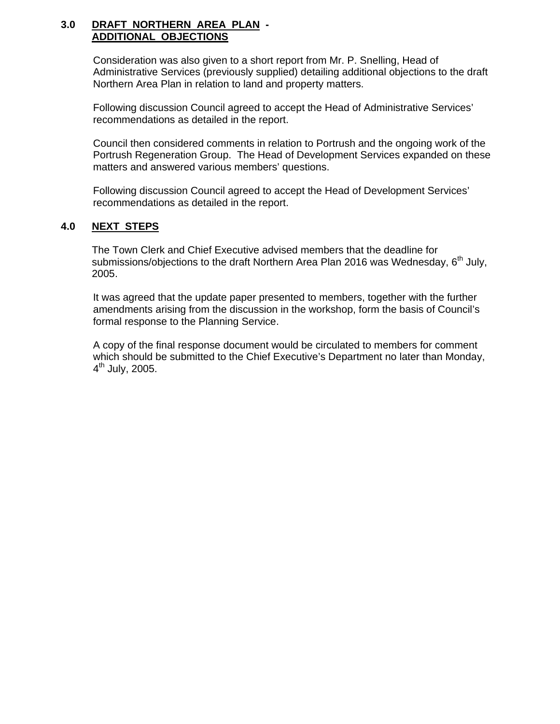#### **3.0 DRAFT NORTHERN AREA PLAN - ADDITIONAL OBJECTIONS**

Consideration was also given to a short report from Mr. P. Snelling, Head of Administrative Services (previously supplied) detailing additional objections to the draft Northern Area Plan in relation to land and property matters.

Following discussion Council agreed to accept the Head of Administrative Services' recommendations as detailed in the report.

Council then considered comments in relation to Portrush and the ongoing work of the Portrush Regeneration Group. The Head of Development Services expanded on these matters and answered various members' questions.

Following discussion Council agreed to accept the Head of Development Services' recommendations as detailed in the report.

# **4.0 NEXT STEPS**

 The Town Clerk and Chief Executive advised members that the deadline for submissions/objections to the draft Northern Area Plan 2016 was Wednesday,  $6<sup>th</sup>$  July, 2005.

It was agreed that the update paper presented to members, together with the further amendments arising from the discussion in the workshop, form the basis of Council's formal response to the Planning Service.

A copy of the final response document would be circulated to members for comment which should be submitted to the Chief Executive's Department no later than Monday,  $4^{\text{th}}$  July, 2005.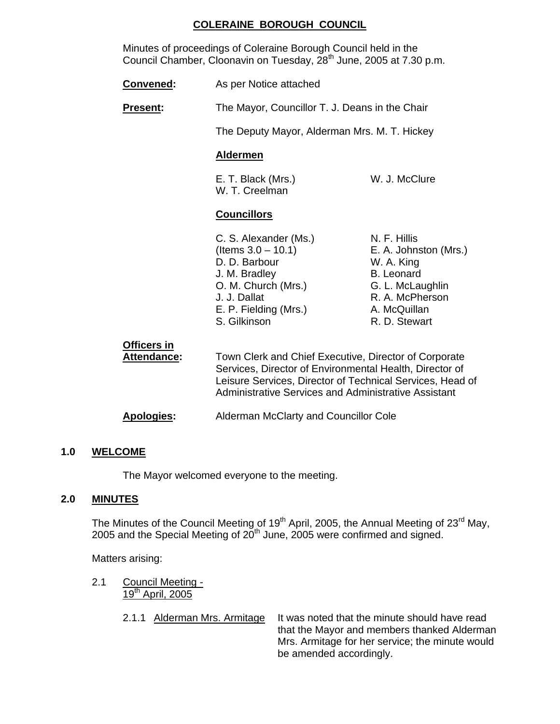# **COLERAINE BOROUGH COUNCIL**

 Minutes of proceedings of Coleraine Borough Council held in the Council Chamber, Cloonavin on Tuesday, 28<sup>th</sup> June, 2005 at 7.30 p.m.

| Convened:                         | As per Notice attached                                                                                                                                                                                                                       |                                                                                                                                                  |  |
|-----------------------------------|----------------------------------------------------------------------------------------------------------------------------------------------------------------------------------------------------------------------------------------------|--------------------------------------------------------------------------------------------------------------------------------------------------|--|
| <b>Present:</b>                   | The Mayor, Councillor T. J. Deans in the Chair                                                                                                                                                                                               |                                                                                                                                                  |  |
|                                   | The Deputy Mayor, Alderman Mrs. M. T. Hickey                                                                                                                                                                                                 |                                                                                                                                                  |  |
|                                   | <b>Aldermen</b>                                                                                                                                                                                                                              |                                                                                                                                                  |  |
|                                   | E. T. Black (Mrs.)<br>W. T. Creelman                                                                                                                                                                                                         | W. J. McClure                                                                                                                                    |  |
|                                   | <b>Councillors</b>                                                                                                                                                                                                                           |                                                                                                                                                  |  |
|                                   | C. S. Alexander (Ms.)<br>(Items $3.0 - 10.1$ )<br>D. D. Barbour<br>J. M. Bradley<br>O. M. Church (Mrs.)<br>J. J. Dallat<br>E. P. Fielding (Mrs.)<br>S. Gilkinson                                                                             | N. F. Hillis<br>E. A. Johnston (Mrs.)<br>W. A. King<br><b>B.</b> Leonard<br>G. L. McLaughlin<br>R. A. McPherson<br>A. McQuillan<br>R. D. Stewart |  |
| <b>Officers in</b><br>Attendance: | Town Clerk and Chief Executive, Director of Corporate<br>Services, Director of Environmental Health, Director of<br>Leisure Services, Director of Technical Services, Head of<br><b>Administrative Services and Administrative Assistant</b> |                                                                                                                                                  |  |

**Apologies:** Alderman McClarty and Councillor Cole

#### **1.0 WELCOME**

The Mayor welcomed everyone to the meeting.

# **2.0 MINUTES**

The Minutes of the Council Meeting of 19<sup>th</sup> April, 2005, the Annual Meeting of 23<sup>rd</sup> May, 2005 and the Special Meeting of  $20<sup>th</sup>$  June, 2005 were confirmed and signed.

Matters arising:

- 2.1 Council Meeting 19th April, 2005
	-

2.1.1 Alderman Mrs. Armitage It was noted that the minute should have read that the Mayor and members thanked Alderman Mrs. Armitage for her service; the minute would be amended accordingly.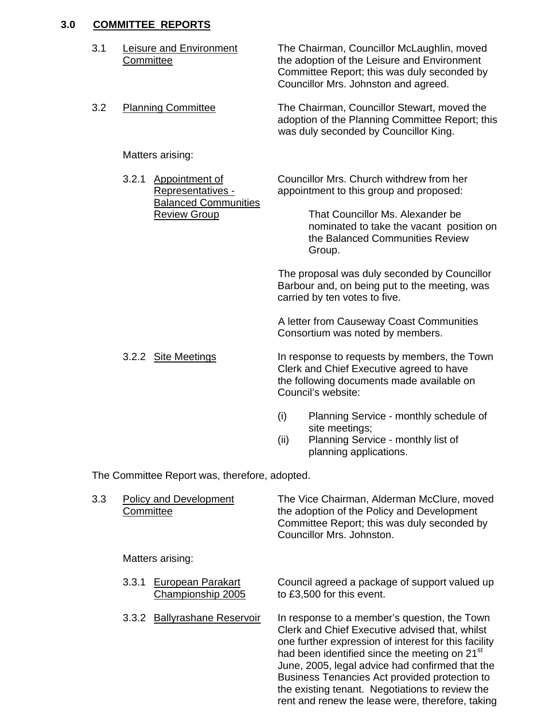# **3.0 COMMITTEE REPORTS**

| 3.1 | <b>Leisure and Environment</b><br>Committee |                                                    |             | The Chairman, Councillor McLaughlin, moved<br>the adoption of the Leisure and Environment<br>Committee Report; this was duly seconded by<br>Councillor Mrs. Johnston and agreed. |  |  |
|-----|---------------------------------------------|----------------------------------------------------|-------------|----------------------------------------------------------------------------------------------------------------------------------------------------------------------------------|--|--|
| 3.2 |                                             | <b>Planning Committee</b>                          |             | The Chairman, Councillor Stewart, moved the<br>adoption of the Planning Committee Report; this<br>was duly seconded by Councillor King.                                          |  |  |
|     |                                             | Matters arising:                                   |             |                                                                                                                                                                                  |  |  |
|     | 3.2.1                                       | <b>Appointment of</b><br>Representatives -         |             | Councillor Mrs. Church withdrew from her<br>appointment to this group and proposed:                                                                                              |  |  |
|     |                                             | <b>Balanced Communities</b><br><b>Review Group</b> |             | That Councillor Ms. Alexander be<br>nominated to take the vacant position on<br>the Balanced Communities Review<br>Group.                                                        |  |  |
|     |                                             |                                                    |             | The proposal was duly seconded by Councillor<br>Barbour and, on being put to the meeting, was<br>carried by ten votes to five.                                                   |  |  |
|     |                                             |                                                    |             | A letter from Causeway Coast Communities<br>Consortium was noted by members.                                                                                                     |  |  |
|     |                                             | 3.2.2 Site Meetings                                |             | In response to requests by members, the Town<br>Clerk and Chief Executive agreed to have<br>the following documents made available on<br>Council's website:                      |  |  |
|     |                                             |                                                    | (i)<br>(ii) | Planning Service - monthly schedule of<br>site meetings;<br>Planning Service - monthly list of<br>planning applications.                                                         |  |  |
|     |                                             | The Committee Report was, therefore, adopted.      |             |                                                                                                                                                                                  |  |  |
| 3.3 | Committee                                   | <b>Policy and Development</b>                      |             | The Vice Chairman, Alderman McClure, moved<br>the adoption of the Policy and Development<br>Committee Report; this was duly seconded by<br>Councillor Mrs. Johnston.             |  |  |
|     | Matters arising:                            |                                                    |             |                                                                                                                                                                                  |  |  |
|     | 3.3.1                                       | <b>European Parakart</b><br>Championship 2005      |             | Council agreed a package of support valued up<br>to £3,500 for this event.                                                                                                       |  |  |
|     | 3.3.2                                       | <b>Ballyrashane Reservoir</b>                      |             | In response to a member's question, the Town<br>Clerk and Chief Executive advised that, whilst<br>ong further expression of interest for this facility                           |  |  |

 one further expression of interest for this facility had been identified since the meeting on 21<sup>st</sup> June, 2005, legal advice had confirmed that the Business Tenancies Act provided protection to the existing tenant. Negotiations to review the rent and renew the lease were, therefore, taking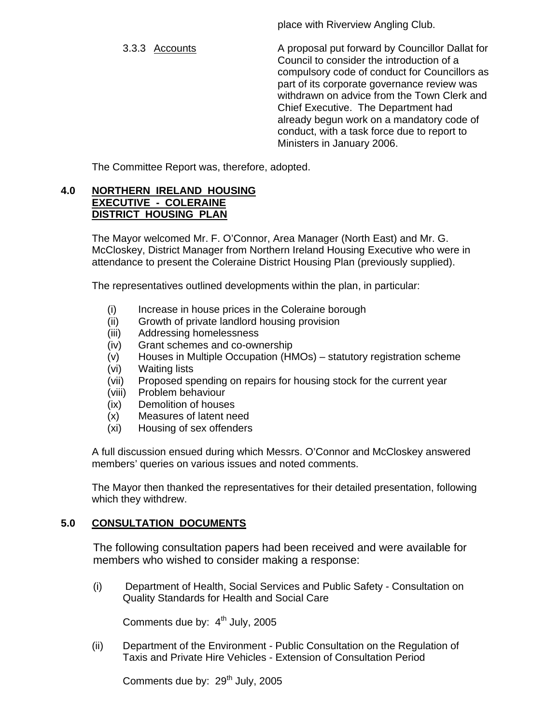place with Riverview Angling Club.

 3.3.3 Accounts A proposal put forward by Councillor Dallat for Council to consider the introduction of a compulsory code of conduct for Councillors as part of its corporate governance review was withdrawn on advice from the Town Clerk and Chief Executive. The Department had already begun work on a mandatory code of conduct, with a task force due to report to Ministers in January 2006.

The Committee Report was, therefore, adopted.

#### **4.0 NORTHERN IRELAND HOUSING EXECUTIVE - COLERAINE DISTRICT HOUSING PLAN**

The Mayor welcomed Mr. F. O'Connor, Area Manager (North East) and Mr. G. McCloskey, District Manager from Northern Ireland Housing Executive who were in attendance to present the Coleraine District Housing Plan (previously supplied).

The representatives outlined developments within the plan, in particular:

- (i) Increase in house prices in the Coleraine borough
- (ii) Growth of private landlord housing provision
- (iii) Addressing homelessness
- (iv) Grant schemes and co-ownership
- (v) Houses in Multiple Occupation (HMOs) statutory registration scheme
- (vi) Waiting lists
- (vii) Proposed spending on repairs for housing stock for the current year
- (viii) Problem behaviour
- (ix) Demolition of houses
- (x) Measures of latent need
- (xi) Housing of sex offenders

A full discussion ensued during which Messrs. O'Connor and McCloskey answered members' queries on various issues and noted comments.

The Mayor then thanked the representatives for their detailed presentation, following which they withdrew.

# **5.0 CONSULTATION DOCUMENTS**

The following consultation papers had been received and were available for members who wished to consider making a response:

(i) Department of Health, Social Services and Public Safety - Consultation on Quality Standards for Health and Social Care

Comments due by:  $4<sup>th</sup>$  July, 2005

(ii) Department of the Environment - Public Consultation on the Regulation of Taxis and Private Hire Vehicles - Extension of Consultation Period

Comments due by:  $29<sup>th</sup>$  July, 2005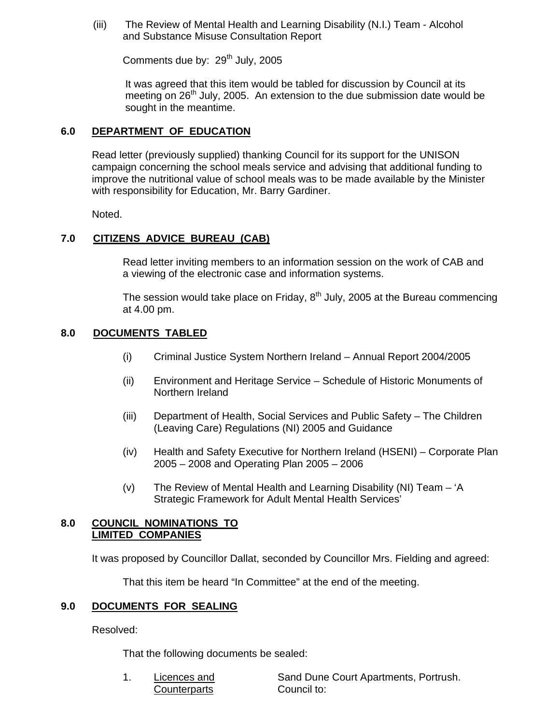(iii) The Review of Mental Health and Learning Disability (N.I.) Team - Alcohol and Substance Misuse Consultation Report

Comments due by:  $29<sup>th</sup>$  July, 2005

It was agreed that this item would be tabled for discussion by Council at its meeting on  $26<sup>th</sup>$  July, 2005. An extension to the due submission date would be sought in the meantime.

# **6.0 DEPARTMENT OF EDUCATION**

 Read letter (previously supplied) thanking Council for its support for the UNISON campaign concerning the school meals service and advising that additional funding to improve the nutritional value of school meals was to be made available by the Minister with responsibility for Education, Mr. Barry Gardiner.

Noted.

# **7.0 CITIZENS ADVICE BUREAU (CAB)**

Read letter inviting members to an information session on the work of CAB and a viewing of the electronic case and information systems.

The session would take place on Friday,  $8<sup>th</sup>$  July, 2005 at the Bureau commencing at 4.00 pm.

#### **8.0 DOCUMENTS TABLED**

- (i) Criminal Justice System Northern Ireland Annual Report 2004/2005
- (ii) Environment and Heritage Service Schedule of Historic Monuments of Northern Ireland
- (iii) Department of Health, Social Services and Public Safety The Children (Leaving Care) Regulations (NI) 2005 and Guidance
- (iv) Health and Safety Executive for Northern Ireland (HSENI) Corporate Plan 2005 – 2008 and Operating Plan 2005 – 2006
- (v) The Review of Mental Health and Learning Disability (NI) Team 'A Strategic Framework for Adult Mental Health Services'

#### **8.0 COUNCIL NOMINATIONS TO LIMITED COMPANIES**

It was proposed by Councillor Dallat, seconded by Councillor Mrs. Fielding and agreed:

That this item be heard "In Committee" at the end of the meeting.

#### **9.0 DOCUMENTS FOR SEALING**

Resolved:

That the following documents be sealed:

Counterparts Council to:

1. Licences and Sand Dune Court Apartments, Portrush.